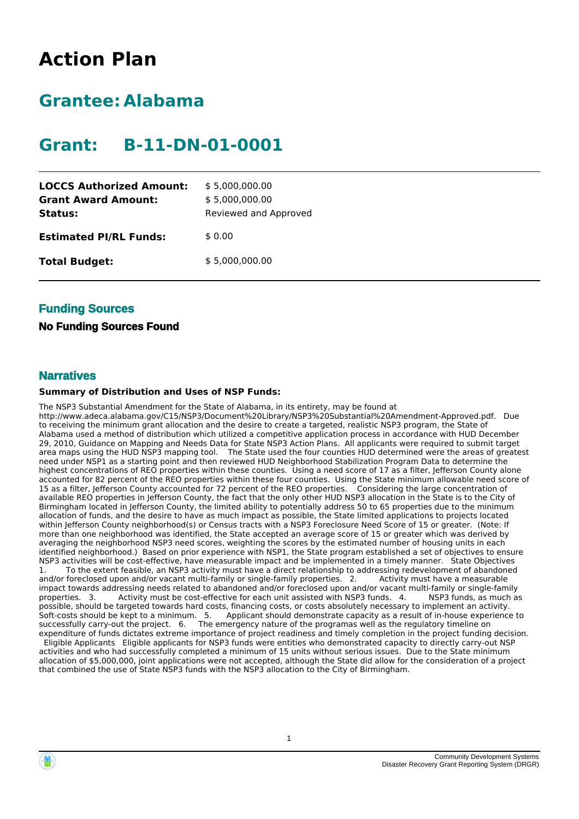# **Action Plan**

# **Grantee: Alabama**

# **Grant: B-11-DN-01-0001**

| <b>LOCCS Authorized Amount:</b><br><b>Grant Award Amount:</b><br>Status: | \$5,000,000.00<br>\$5,000,000.00<br>Reviewed and Approved |
|--------------------------------------------------------------------------|-----------------------------------------------------------|
| <b>Estimated PI/RL Funds:</b>                                            | \$0.00                                                    |
| <b>Total Budget:</b>                                                     | \$5,000,000.00                                            |

## **Funding Sources**

## **No Funding Sources Found**

### **Narratives**

### **Summary of Distribution and Uses of NSP Funds:**

The NSP3 Substantial Amendment for the State of Alabama, in its entirety, may be found at http://www.adeca.alabama.gov/C15/NSP3/Document%20Library/NSP3%20Substantial%20Amendment-Approved.pdf. Due to receiving the minimum grant allocation and the desire to create a targeted, realistic NSP3 program, the State of Alabama used a method of distribution which utilized a competitive application process in accordance with HUD December 29, 2010, Guidance on Mapping and Needs Data for State NSP3 Action Plans. All applicants were required to submit target area maps using the HUD NSP3 mapping tool. The State used the four counties HUD determined were the areas of greatest need under NSP1 as a starting point and then reviewed HUD Neighborhood Stabilization Program Data to determine the highest concentrations of REO properties within these counties. Using a need score of 17 as a filter, Jefferson County alone accounted for 82 percent of the REO properties within these four counties. Using the State minimum allowable need score of 15 as a filter, Jefferson County accounted for 72 percent of the REO properties. Considering the large concentration of available REO properties in Jefferson County, the fact that the only other HUD NSP3 allocation in the State is to the City of Birmingham located in Jefferson County, the limited ability to potentially address 50 to 65 properties due to the minimum allocation of funds, and the desire to have as much impact as possible, the State limited applications to projects located within Jefferson County neighborhood(s) or Census tracts with a NSP3 Foreclosure Need Score of 15 or greater. (Note: If more than one neighborhood was identified, the State accepted an average score of 15 or greater which was derived by averaging the neighborhood NSP3 need scores, weighting the scores by the estimated number of housing units in each identified neighborhood.) Based on prior experience with NSP1, the State program established a set of objectives to ensure NSP3 activities will be cost-effective, have measurable impact and be implemented in a timely manner. State Objectives To the extent feasible, an NSP3 activity must have a direct relationship to addressing redevelopment of abandoned<br>foreclosed upon and/or vacant multi-family or single-family properties. 2. Activity must have a measurable and/or foreclosed upon and/or vacant multi-family or single-family properties. 2. impact towards addressing needs related to abandoned and/or foreclosed upon and/or vacant multi-family or single-family<br>properties. 3. Activity must be cost-effective for each unit assisted with NSP3 funds. 4. NSP3 funds, Activity must be cost-effective for each unit assisted with NSP3 funds. 4. possible, should be targeted towards hard costs, financing costs, or costs absolutely necessary to implement an activity. Soft-costs should be kept to a minimum. 5. Applicant should demonstrate capacity as a result of in-house experience to successfully carry-out the project. 6. The emergency nature of the programas well as the regulatory timeline on expenditure of funds dictates extreme importance of project readiness and timely completion in the project funding decision. Eligible Applicants Eligible applicants for NSP3 funds were entities who demonstrated capacity to directly carry-out NSP

activities and who had successfully completed a minimum of 15 units without serious issues. Due to the State minimum allocation of \$5,000,000, joint applications were not accepted, although the State did allow for the consideration of a project that combined the use of State NSP3 funds with the NSP3 allocation to the City of Birmingham.



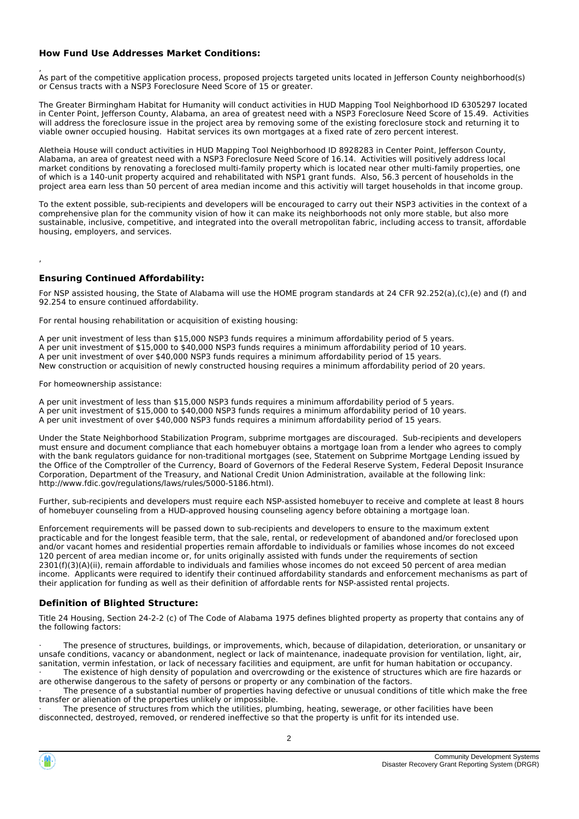### **How Fund Use Addresses Market Conditions:**

, As part of the competitive application process, proposed projects targeted units located in Jefferson County neighborhood(s) or Census tracts with a NSP3 Foreclosure Need Score of 15 or greater.

The Greater Birmingham Habitat for Humanity will conduct activities in HUD Mapping Tool Neighborhood ID 6305297 located in Center Point, Jefferson County, Alabama, an area of greatest need with a NSP3 Foreclosure Need Score of 15.49. Activities will address the foreclosure issue in the project area by removing some of the existing foreclosure stock and returning it to viable owner occupied housing. Habitat services its own mortgages at a fixed rate of zero percent interest.

Aletheia House will conduct activities in HUD Mapping Tool Neighborhood ID 8928283 in Center Point, Jefferson County, Alabama, an area of greatest need with a NSP3 Foreclosure Need Score of 16.14. Activities will positively address local market conditions by renovating a foreclosed multi-family property which is located near other multi-family properties, one of which is a 140-unit property acquired and rehabilitated with NSP1 grant funds. Also, 56.3 percent of households in the project area earn less than 50 percent of area median income and this activitiy will target households in that income group.

To the extent possible, sub-recipients and developers will be encouraged to carry out their NSP3 activities in the context of a comprehensive plan for the community vision of how it can make its neighborhoods not only more stable, but also more sustainable, inclusive, competitive, and integrated into the overall metropolitan fabric, including access to transit, affordable housing, employers, and services.

### **Ensuring Continued Affordability:**

For NSP assisted housing, the State of Alabama will use the HOME program standards at 24 CFR 92.252(a),(c),(e) and (f) and 92.254 to ensure continued affordability.

For rental housing rehabilitation or acquisition of existing housing:

A per unit investment of less than \$15,000 NSP3 funds requires a minimum affordability period of 5 years. A per unit investment of \$15,000 to \$40,000 NSP3 funds requires a minimum affordability period of 10 years. A per unit investment of over \$40,000 NSP3 funds requires a minimum affordability period of 15 years. New construction or acquisition of newly constructed housing requires a minimum affordability period of 20 years.

For homeownership assistance:

,

A per unit investment of less than \$15,000 NSP3 funds requires a minimum affordability period of 5 years. A per unit investment of \$15,000 to \$40,000 NSP3 funds requires a minimum affordability period of 10 years. A per unit investment of over \$40,000 NSP3 funds requires a minimum affordability period of 15 years.

Under the State Neighborhood Stabilization Program, subprime mortgages are discouraged. Sub-recipients and developers must ensure and document compliance that each homebuyer obtains a mortgage loan from a lender who agrees to comply with the bank regulators guidance for non-traditional mortgages (see, Statement on Subprime Mortgage Lending issued by the Office of the Comptroller of the Currency, Board of Governors of the Federal Reserve System, Federal Deposit Insurance Corporation, Department of the Treasury, and National Credit Union Administration, available at the following link: http://www.fdic.gov/regulations/laws/rules/5000-5186.html).

Further, sub-recipients and developers must require each NSP-assisted homebuyer to receive and complete at least 8 hours of homebuyer counseling from a HUD-approved housing counseling agency before obtaining a mortgage loan.

Enforcement requirements will be passed down to sub-recipients and developers to ensure to the maximum extent practicable and for the longest feasible term, that the sale, rental, or redevelopment of abandoned and/or foreclosed upon and/or vacant homes and residential properties remain affordable to individuals or families whose incomes do not exceed 120 percent of area median income or, for units originally assisted with funds under the requirements of section 2301(f)(3)(A)(ii), remain affordable to individuals and families whose incomes do not exceed 50 percent of area median income. Applicants were required to identify their continued affordability standards and enforcement mechanisms as part of their application for funding as well as their definition of affordable rents for NSP-assisted rental projects.

### **Definition of Blighted Structure:**

Title 24 Housing, Section 24-2-2 (c) of The Code of Alabama 1975 defines blighted property as property that contains any of the following factors:

The presence of structures, buildings, or improvements, which, because of dilapidation, deterioration, or unsanitary or unsafe conditions, vacancy or abandonment, neglect or lack of maintenance, inadequate provision for ventilation, light, air, sanitation, vermin infestation, or lack of necessary facilities and equipment, are unfit for human habitation or occupancy.

The existence of high density of population and overcrowding or the existence of structures which are fire hazards or are otherwise dangerous to the safety of persons or property or any combination of the factors. The presence of a substantial number of properties having defective or unusual conditions of title which make the free

transfer or alienation of the properties unlikely or impossible.

The presence of structures from which the utilities, plumbing, heating, sewerage, or other facilities have been disconnected, destroyed, removed, or rendered ineffective so that the property is unfit for its intended use.

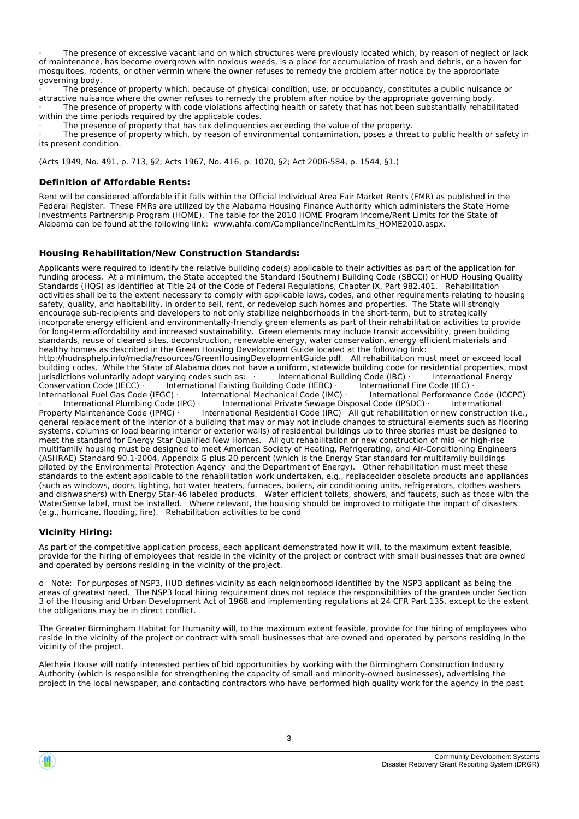The presence of excessive vacant land on which structures were previously located which, by reason of neglect or lack of maintenance, has become overgrown with noxious weeds, is a place for accumulation of trash and debris, or a haven for mosquitoes, rodents, or other vermin where the owner refuses to remedy the problem after notice by the appropriate governing body.

The presence of property which, because of physical condition, use, or occupancy, constitutes a public nuisance or attractive nuisance where the owner refuses to remedy the problem after notice by the appropriate governing body.

The presence of property with code violations affecting health or safety that has not been substantially rehabilitated within the time periods required by the applicable codes.

The presence of property that has tax delinguencies exceeding the value of the property.

The presence of property which, by reason of environmental contamination, poses a threat to public health or safety in its present condition.

(Acts 1949, No. 491, p. 713, §2; Acts 1967, No. 416, p. 1070, §2; Act 2006-584, p. 1544, §1.)

### **Definition of Affordable Rents:**

Rent will be considered affordable if it falls within the Official Individual Area Fair Market Rents (FMR) as published in the Federal Register. These FMRs are utilized by the Alabama Housing Finance Authority which administers the State Home Investments Partnership Program (HOME). The table for the 2010 HOME Program Income/Rent Limits for the State of Alabama can be found at the following link: www.ahfa.com/Compliance/IncRentLimits\_HOME2010.aspx.

### **Housing Rehabilitation/New Construction Standards:**

Applicants were required to identify the relative building code(s) applicable to their activities as part of the application for funding process. At a minimum, the State accepted the Standard (Southern) Building Code (SBCCI) or HUD Housing Quality Standards (HQS) as identified at Title 24 of the Code of Federal Regulations, Chapter IX, Part 982.401. Rehabilitation activities shall be to the extent necessary to comply with applicable laws, codes, and other requirements relating to housing safety, quality, and habitability, in order to sell, rent, or redevelop such homes and properties. The State will strongly encourage sub-recipients and developers to not only stabilize neighborhoods in the short-term, but to strategically incorporate energy efficient and environmentally-friendly green elements as part of their rehabilitation activities to provide for long-term affordability and increased sustainability. Green elements may include transit accessibility, green building standards, reuse of cleared sites, deconstruction, renewable energy, water conservation, energy efficient materials and healthy homes as described in the Green Housing Development Guide located at the following link: http://hudnsphelp.info/media/resources/GreenHousingDevelopmentGuide.pdf. All rehabilitation must meet or exceed local building codes. While the State of Alabama does not have a uniform, statewide building code for residential properties, most<br>jurisdictions voluntarily adopt varying codes such as: litternational Building Code (IBC) · litte jurisdictions voluntarily adopt varying codes such as: · International Building Code (IBC) · International Energy Conservation Code (IECC) · International Existing Building Code (IEBC) · International Fire Code (IFC) ·

International Fuel Gas Code (IFGC) · International Mechanical Code (IMC) · International Performance Code (ICCPC) · International Plumbing Code (IPC) · International Private Sewage Disposal Code (IPSDC) · International International Residential Code (IRC)  $\overrightarrow{A}$  All gut rehabilitation or new construction (i.e., general replacement of the interior of a building that may or may not include changes to structural elements such as flooring systems, columns or load bearing interior or exterior walls) of residential buildings up to three stories must be designed to meet the standard for Energy Star Qualified New Homes. All gut rehabilitation or new construction of mid -or high-rise multifamily housing must be designed to meet American Society of Heating, Refrigerating, and Air-Conditioning Engineers (ASHRAE) Standard 90.1-2004, Appendix G plus 20 percent (which is the Energy Star standard for multifamily buildings piloted by the Environmental Protection Agency and the Department of Energy). Other rehabilitation must meet these standards to the extent applicable to the rehabilitation work undertaken, e.g., replaceolder obsolete products and appliances (such as windows, doors, lighting, hot water heaters, furnaces, boilers, air conditioning units, refrigerators, clothes washers and dishwashers) with Energy Star-46 labeled products. Water efficient toilets, showers, and faucets, such as those with the WaterSense label, must be installed. Where relevant, the housing should be improved to mitigate the impact of disasters (e.g., hurricane, flooding, fire). Rehabilitation activities to be cond

### **Vicinity Hiring:**

As part of the competitive application process, each applicant demonstrated how it will, to the maximum extent feasible, provide for the hiring of employees that reside in the vicinity of the project or contract with small businesses that are owned and operated by persons residing in the vicinity of the project.

o Note: For purposes of NSP3, HUD defines vicinity as each neighborhood identified by the NSP3 applicant as being the areas of greatest need. The NSP3 local hiring requirement does not replace the responsibilities of the grantee under Section 3 of the Housing and Urban Development Act of 1968 and implementing regulations at 24 CFR Part 135, except to the extent the obligations may be in direct conflict.

The Greater Birmingham Habitat for Humanity will, to the maximum extent feasible, provide for the hiring of employees who reside in the vicinity of the project or contract with small businesses that are owned and operated by persons residing in the vicinity of the project.

Aletheia House will notify interested parties of bid opportunities by working with the Birmingham Construction Industry Authority (which is responsible for strengthening the capacity of small and minority-owned businesses), advertising the project in the local newspaper, and contacting contractors who have performed high quality work for the agency in the past.

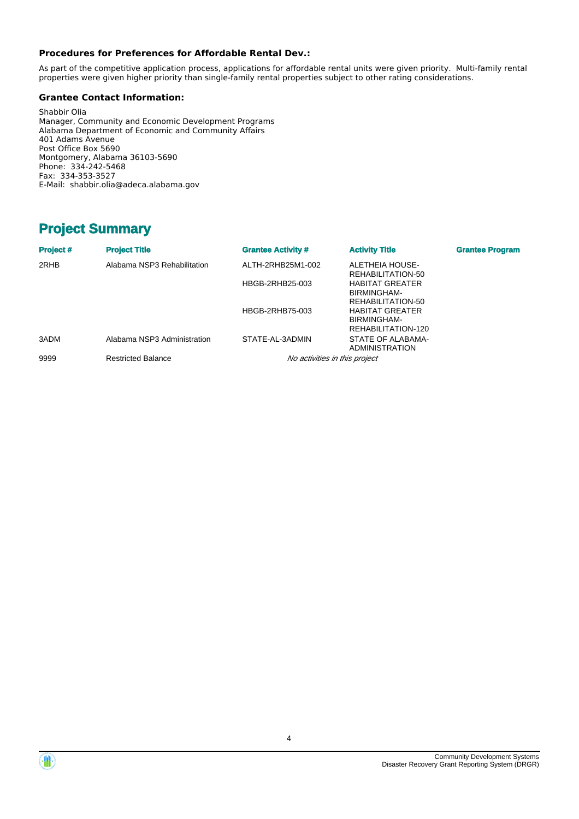### **Procedures for Preferences for Affordable Rental Dev.:**

As part of the competitive application process, applications for affordable rental units were given priority. Multi-family rental properties were given higher priority than single-family rental properties subject to other rating considerations.

### **Grantee Contact Information:**

Shabbir Olia Manager, Community and Economic Development Programs Alabama Department of Economic and Community Affairs 401 Adams Avenue Post Office Box 5690 Montgomery, Alabama 36103-5690 Phone: 334-242-5468 Fax: 334-353-3527 E-Mail: shabbir.olia@adeca.alabama.gov

## **Project Summary**

| Project # | <b>Project Title</b>        | <b>Grantee Activity #</b>     | <b>Activity Title</b>                                       | <b>Grantee Program</b> |
|-----------|-----------------------------|-------------------------------|-------------------------------------------------------------|------------------------|
| 2RHB      | Alabama NSP3 Rehabilitation | ALTH-2RHB25M1-002             | ALETHEIA HOUSE-<br>REHABILITATION-50                        |                        |
|           |                             | HBGB-2RHB25-003               | <b>HABITAT GREATER</b><br>BIRMINGHAM-<br>REHABILITATION-50  |                        |
|           |                             | HBGB-2RHB75-003               | <b>HABITAT GREATER</b><br>BIRMINGHAM-<br>REHABILITATION-120 |                        |
| 3ADM      | Alabama NSP3 Administration | STATE-AL-3ADMIN               | STATE OF ALABAMA-<br>ADMINISTRATION                         |                        |
| 9999      | <b>Restricted Balance</b>   | No activities in this project |                                                             |                        |



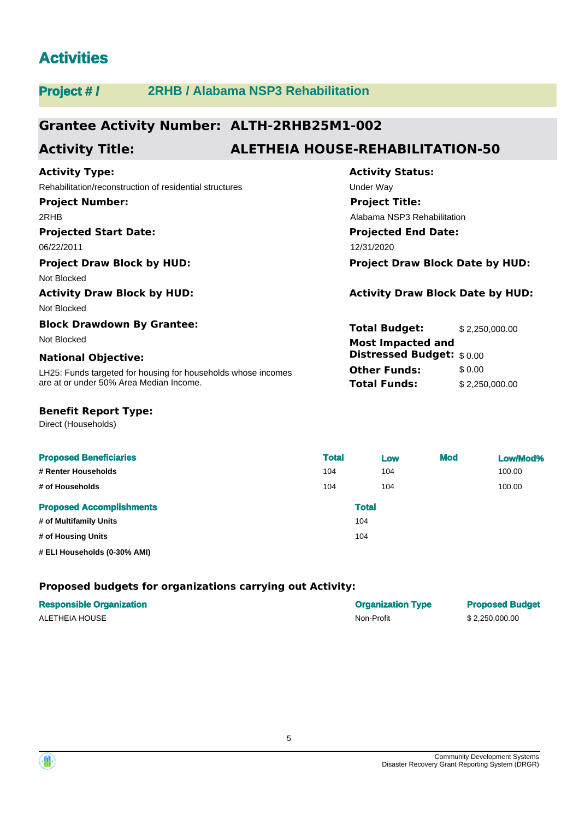## **Activities**

## **Project # / 2RHB / Alabama NSP3 Rehabilitation**

## **Grantee Activity Number: ALTH-2RHB25M1-002**

## **Activity Title: ALETHEIA HOUSE-REHABILITATION-50**

## **Projected Start Date: Activity Type:** 06/22/2011 12/31/2020 Rehabilitation/reconstruction of residential structures Under Way **Project Number:** 2RHB **Project Draw Block by HUD: Project Draw Block Date by HUD:** Not Blocked **Activity Draw Block by HUD: Activity Draw Block Date by HUD:** Not Blocked **Block Drawdown By Grantee:** Not Blocked **Most Impacted and**

### **National Objective:**

LH25: Funds targeted for housing for households whose incomes are at or under 50% Area Median Income.

# **Activity Status: Projected End Date: Project Title:** Alabama NSP3 Rehabilitation

| <b>Total Budget:</b>                                  | \$2,250,000.00 |
|-------------------------------------------------------|----------------|
| <b>Most Impacted and</b><br>Distressed Budget: \$0.00 |                |
| <b>Other Funds:</b>                                   | \$0.00         |
| <b>Total Funds:</b>                                   | \$2,250,000.00 |

### **Benefit Report Type:**

Direct (Households)

| <b>Proposed Beneficiaries</b>   | <b>Total</b> | Low | <b>Mod</b> | Low/Mod% |
|---------------------------------|--------------|-----|------------|----------|
| # Renter Households             | 104          | 104 |            | 100.00   |
| # of Households                 | 104          | 104 |            | 100.00   |
| <b>Proposed Accomplishments</b> | <b>Total</b> |     |            |          |
| # of Multifamily Units          | 104          |     |            |          |
| # of Housing Units              | 104          |     |            |          |
| # ELI Households (0-30% AMI)    |              |     |            |          |

### **Proposed budgets for organizations carrying out Activity:**

| <b>Responsible Organization</b> | <b>Organization Type</b> | <b>Proposed Budget</b> |
|---------------------------------|--------------------------|------------------------|
| ALETHEIA HOUSE                  | Non-Profit               | \$2.250.000.00         |

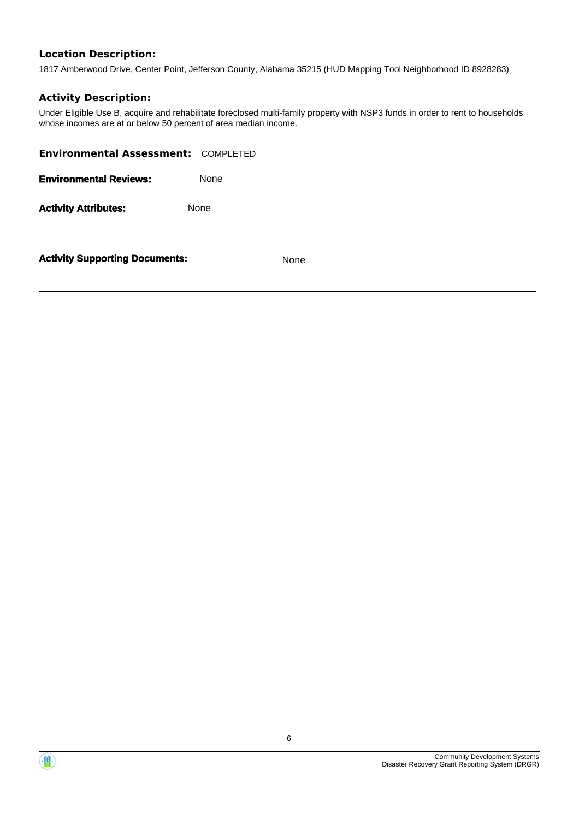### **Location Description:**

1817 Amberwood Drive, Center Point, Jefferson County, Alabama 35215 (HUD Mapping Tool Neighborhood ID 8928283)

### **Activity Description:**

Under Eligible Use B, acquire and rehabilitate foreclosed multi-family property with NSP3 funds in order to rent to households whose incomes are at or below 50 percent of area median income.

| <b>Environmental Assessment: COMPLETED</b> |             |
|--------------------------------------------|-------------|
| <b>Environmental Reviews:</b>              | None        |
| <b>Activity Attributes:</b>                | <b>None</b> |
|                                            |             |

**Activity Supporting Documents:** None



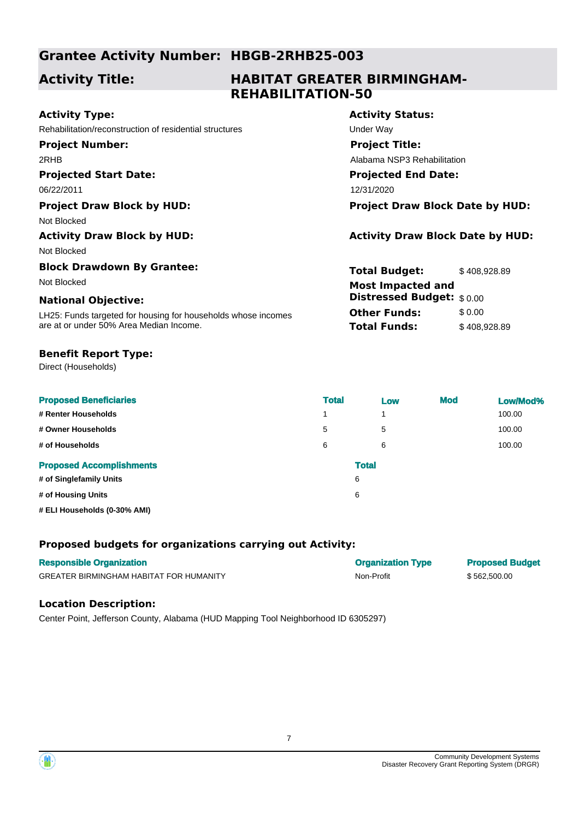## **Grantee Activity Number: HBGB-2RHB25-003**

## **Activity Title:**

## **HABITAT GREATER BIRMINGHAM-REHABILITATION-50**

| <b>Activity Type:</b>                                         | <b>Activity Status:</b>                 |                             |  |  |
|---------------------------------------------------------------|-----------------------------------------|-----------------------------|--|--|
| Rehabilitation/reconstruction of residential structures       | Under Way                               |                             |  |  |
| <b>Project Number:</b>                                        | <b>Project Title:</b>                   |                             |  |  |
| 2RHB                                                          |                                         | Alabama NSP3 Rehabilitation |  |  |
| <b>Projected Start Date:</b>                                  | <b>Projected End Date:</b>              |                             |  |  |
| 06/22/2011                                                    | 12/31/2020                              |                             |  |  |
| <b>Project Draw Block by HUD:</b>                             | <b>Project Draw Block Date by HUD:</b>  |                             |  |  |
| Not Blocked                                                   |                                         |                             |  |  |
| <b>Activity Draw Block by HUD:</b>                            | <b>Activity Draw Block Date by HUD:</b> |                             |  |  |
| Not Blocked                                                   |                                         |                             |  |  |
| <b>Block Drawdown By Grantee:</b>                             | <b>Total Budget:</b>                    | \$408,928.89                |  |  |
| Not Blocked                                                   | <b>Most Impacted and</b>                |                             |  |  |
| <b>National Objective:</b>                                    | Distressed Budget: \$0.00               |                             |  |  |
| LH25: Funds targeted for housing for households whose incomes | <b>Other Funds:</b>                     | \$0.00                      |  |  |
| are at or under 50% Area Median Income.                       | Total Funds:                            | \$408,928.89                |  |  |
| <b>Benefit Report Type:</b>                                   |                                         |                             |  |  |
| Direct (Households)                                           |                                         |                             |  |  |

| <b>Proposed Beneficiaries</b>   | <b>Total</b> | Low            | <b>Mod</b> | Low/Mod% |
|---------------------------------|--------------|----------------|------------|----------|
| # Renter Households             | 1            | $\overline{A}$ |            | 100.00   |
| # Owner Households              | 5            | 5              |            | 100.00   |
| # of Households                 | 6            | 6              |            | 100.00   |
| <b>Proposed Accomplishments</b> | <b>Total</b> |                |            |          |
| # of Singlefamily Units         | 6            |                |            |          |
| # of Housing Units              | 6            |                |            |          |
| # ELI Households (0-30% AMI)    |              |                |            |          |

### **Proposed budgets for organizations carrying out Activity:**

| <b>Responsible Organization</b>                | <b>Organization Type</b> | <b>Proposed Budget</b> |
|------------------------------------------------|--------------------------|------------------------|
| <b>GREATER BIRMINGHAM HABITAT FOR HUMANITY</b> | Non-Profit               | \$562,500.00           |

### **Location Description:**

Center Point, Jefferson County, Alabama (HUD Mapping Tool Neighborhood ID 6305297)



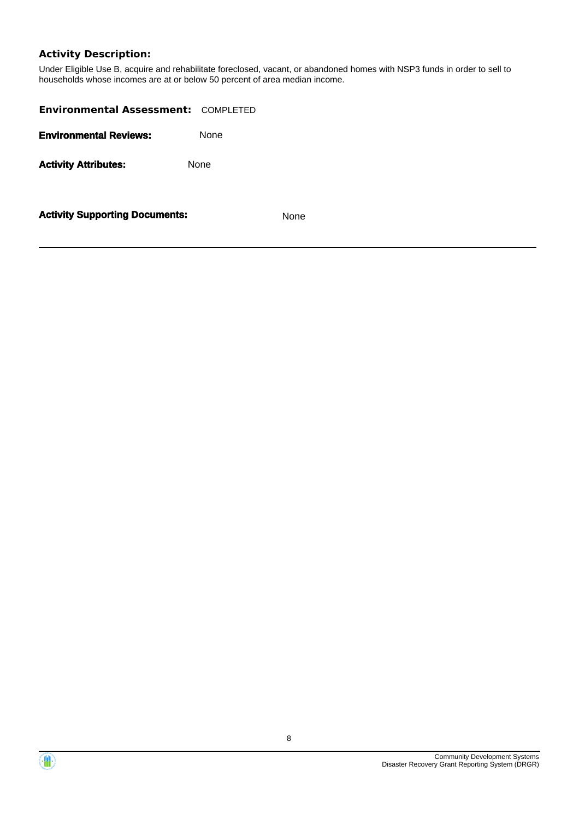## **Activity Description:**

Under Eligible Use B, acquire and rehabilitate foreclosed, vacant, or abandoned homes with NSP3 funds in order to sell to households whose incomes are at or below 50 percent of area median income.

| <b>Environmental Assessment: COMPLETED</b> |      |      |
|--------------------------------------------|------|------|
| <b>Environmental Reviews:</b>              | None |      |
| <b>Activity Attributes:</b>                | None |      |
| <b>Activity Supporting Documents:</b>      |      | None |



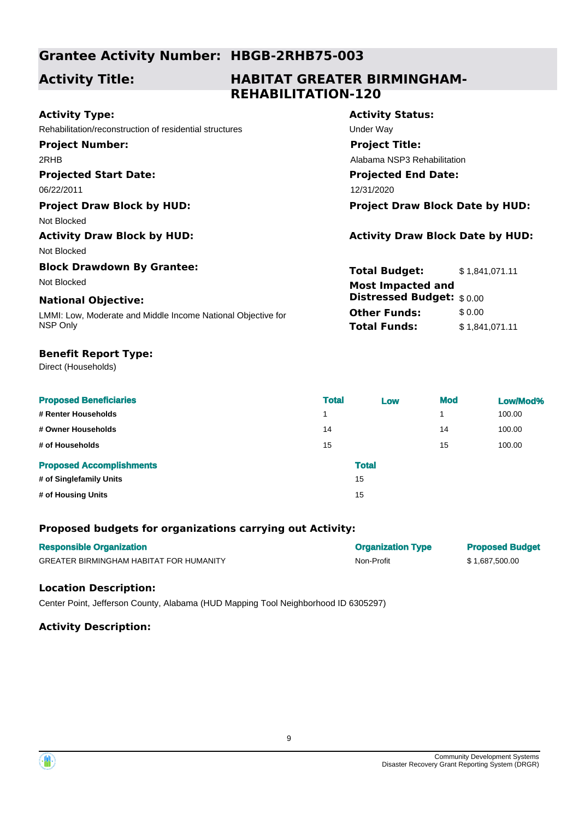## **Grantee Activity Number: HBGB-2RHB75-003**

## **Activity Title:**

## **HABITAT GREATER BIRMINGHAM-REHABILITATION-120**

| <b>Activity Type:</b>                                        | <b>Activity Status:</b>                 |                |  |
|--------------------------------------------------------------|-----------------------------------------|----------------|--|
| Rehabilitation/reconstruction of residential structures      | Under Way                               |                |  |
| <b>Project Number:</b>                                       | <b>Project Title:</b>                   |                |  |
| 2RHB                                                         | Alabama NSP3 Rehabilitation             |                |  |
| <b>Projected Start Date:</b>                                 | <b>Projected End Date:</b>              |                |  |
| 06/22/2011                                                   | 12/31/2020                              |                |  |
| <b>Project Draw Block by HUD:</b>                            | <b>Project Draw Block Date by HUD:</b>  |                |  |
| Not Blocked                                                  |                                         |                |  |
| <b>Activity Draw Block by HUD:</b>                           | <b>Activity Draw Block Date by HUD:</b> |                |  |
| Not Blocked                                                  |                                         |                |  |
| <b>Block Drawdown By Grantee:</b>                            | <b>Total Budget:</b>                    | \$1,841,071.11 |  |
| Not Blocked                                                  | <b>Most Impacted and</b>                |                |  |
| <b>National Objective:</b>                                   | <b>Distressed Budget:</b> \$0.00        |                |  |
| LMMI: Low, Moderate and Middle Income National Objective for | <b>Other Funds:</b>                     | \$0.00         |  |
| NSP Only                                                     | <b>Total Funds:</b>                     | \$1,841,071.11 |  |
| <b>Benefit Report Type:</b>                                  |                                         |                |  |
| Direct (Households)                                          |                                         |                |  |

| <b>Proposed Beneficiaries</b>   | <b>Total</b> | Low          | <b>Mod</b> | Low/Mod% |
|---------------------------------|--------------|--------------|------------|----------|
| # Renter Households             | 1            |              |            | 100.00   |
| # Owner Households              | 14           |              | 14         | 100.00   |
| # of Households                 | 15           |              | 15         | 100.00   |
| <b>Proposed Accomplishments</b> |              | <b>Total</b> |            |          |
| # of Singlefamily Units         |              | 15           |            |          |
| # of Housing Units              |              | 15           |            |          |

### **Proposed budgets for organizations carrying out Activity:**

| <b>Responsible Organization</b>                | <b>Organization Type</b> | <b>Proposed Budget</b> |
|------------------------------------------------|--------------------------|------------------------|
| <b>GREATER BIRMINGHAM HABITAT FOR HUMANITY</b> | Non-Profit               | \$1,687,500.00         |

### **Location Description:**

Center Point, Jefferson County, Alabama (HUD Mapping Tool Neighborhood ID 6305297)

### **Activity Description:**

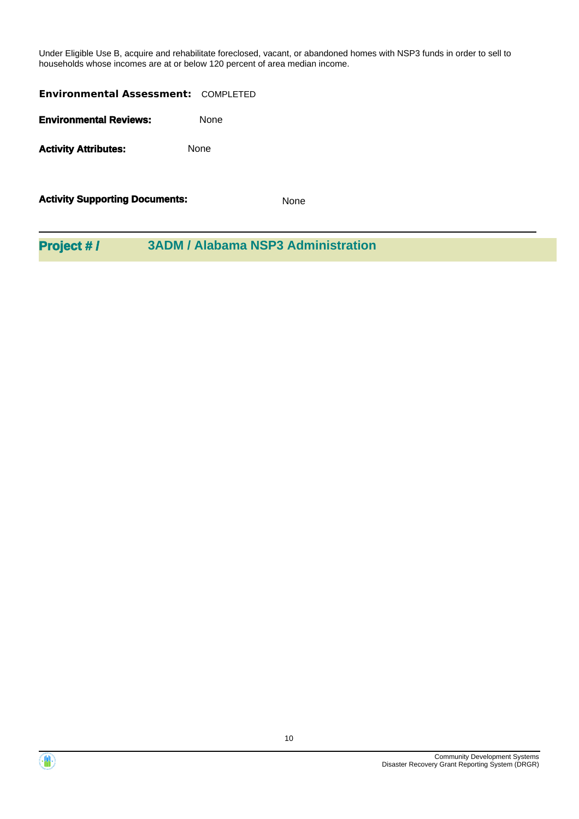Under Eligible Use B, acquire and rehabilitate foreclosed, vacant, or abandoned homes with NSP3 funds in order to sell to households whose incomes are at or below 120 percent of area median income.

| <b>Activity Supporting Documents:</b>      | None |
|--------------------------------------------|------|
| <b>Activity Attributes:</b>                | None |
| <b>Environmental Reviews:</b>              | None |
| <b>Environmental Assessment: COMPLETED</b> |      |

**Project # / 3ADM / Alabama NSP3 Administration**



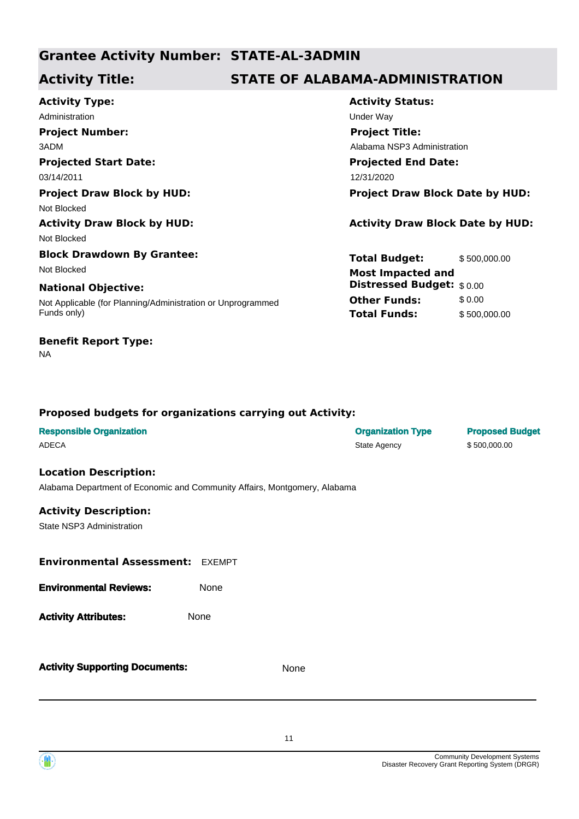## **Grantee Activity Number: STATE-AL-3ADMIN**

## **Activity Title: STATE OF ALABAMA-ADMINISTRATION**

**Projected Start Date:** Not Applicable (for Planning/Administration or Unprogrammed Funds only) **National Objective: Activity Type:** 03/14/2011 12/31/2020 Administration **Administration** Channel Control of Channel Channel Channel Channel Channel Channel Channel Channel Channel Channel Channel Channel Channel Channel Channel Channel Channel Channel Channel Channel Channel Cha **Project Number:** 3ADM **Project Draw Block by HUD: Project Draw Block Date by HUD:** Not Blocked **Activity Draw Block by HUD: Activity Draw Block Date by HUD:** Not Blocked **Block Drawdown By Grantee:** Not Blocked **Most Impacted and** 

### **Benefit Report Type:**

NA

# **Activity Status: Projected End Date: Project Title:** Alabama NSP3 Administration

**Total Budget:** \$ 500,000.00 **Other Funds:** \$0.00 **Total Funds:** \$ 500,000.00 **Distressed Budget:** \$ 0.00

### **Proposed budgets for organizations carrying out Activity:**

| <b>Responsible Organization</b>                                           |        |      | <b>Organization Type</b> | <b>Proposed Budget</b> |
|---------------------------------------------------------------------------|--------|------|--------------------------|------------------------|
| <b>ADECA</b>                                                              |        |      | State Agency             | \$500,000.00           |
| <b>Location Description:</b>                                              |        |      |                          |                        |
|                                                                           |        |      |                          |                        |
| Alabama Department of Economic and Community Affairs, Montgomery, Alabama |        |      |                          |                        |
| <b>Activity Description:</b>                                              |        |      |                          |                        |
| State NSP3 Administration                                                 |        |      |                          |                        |
|                                                                           |        |      |                          |                        |
|                                                                           |        |      |                          |                        |
| <b>Environmental Assessment:</b>                                          | EXEMPT |      |                          |                        |
| <b>Environmental Reviews:</b>                                             | None   |      |                          |                        |
|                                                                           |        |      |                          |                        |
| <b>Activity Attributes:</b>                                               | None   |      |                          |                        |
|                                                                           |        |      |                          |                        |
|                                                                           |        |      |                          |                        |
|                                                                           |        |      |                          |                        |
| <b>Activity Supporting Documents:</b>                                     |        | None |                          |                        |
|                                                                           |        |      |                          |                        |
|                                                                           |        |      |                          |                        |